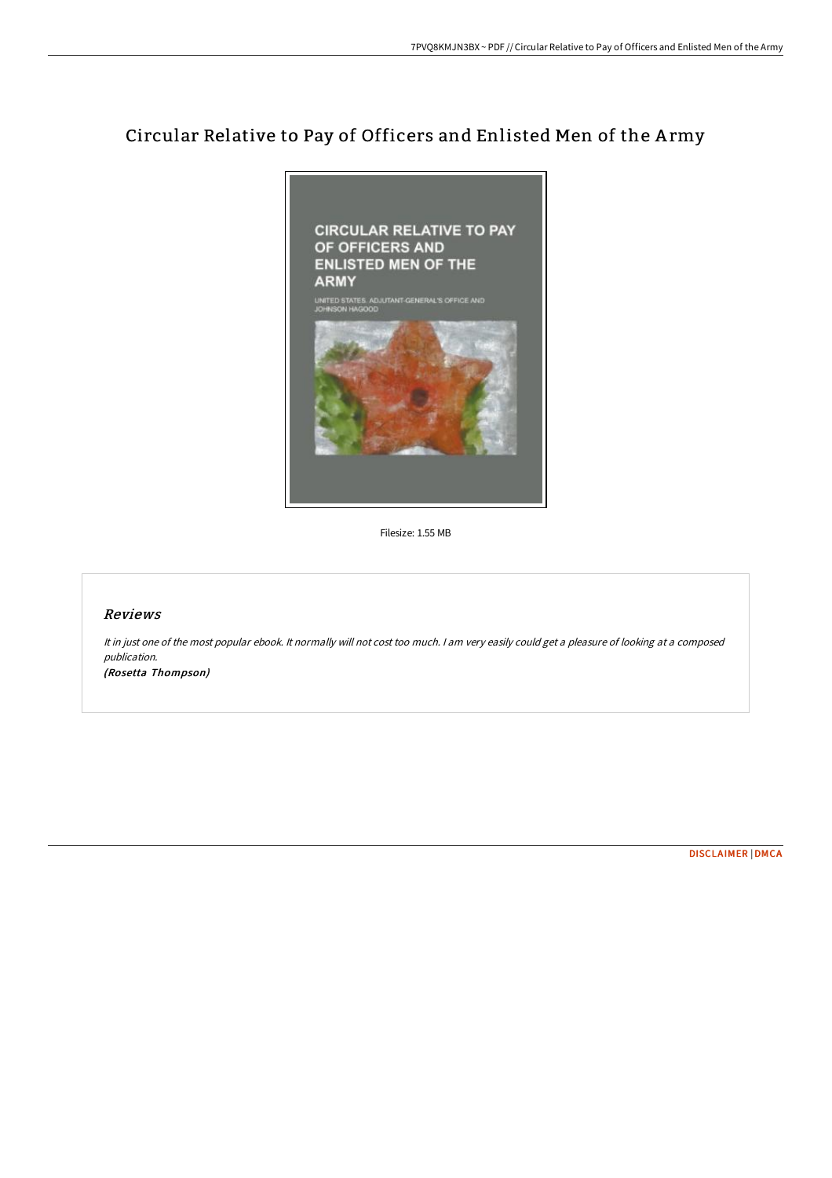# Circular Relative to Pay of Officers and Enlisted Men of the A rmy



Filesize: 1.55 MB

## Reviews

It in just one of the most popular ebook. It normally will not cost too much. <sup>I</sup> am very easily could get <sup>a</sup> pleasure of looking at <sup>a</sup> composed publication. (Rosetta Thompson)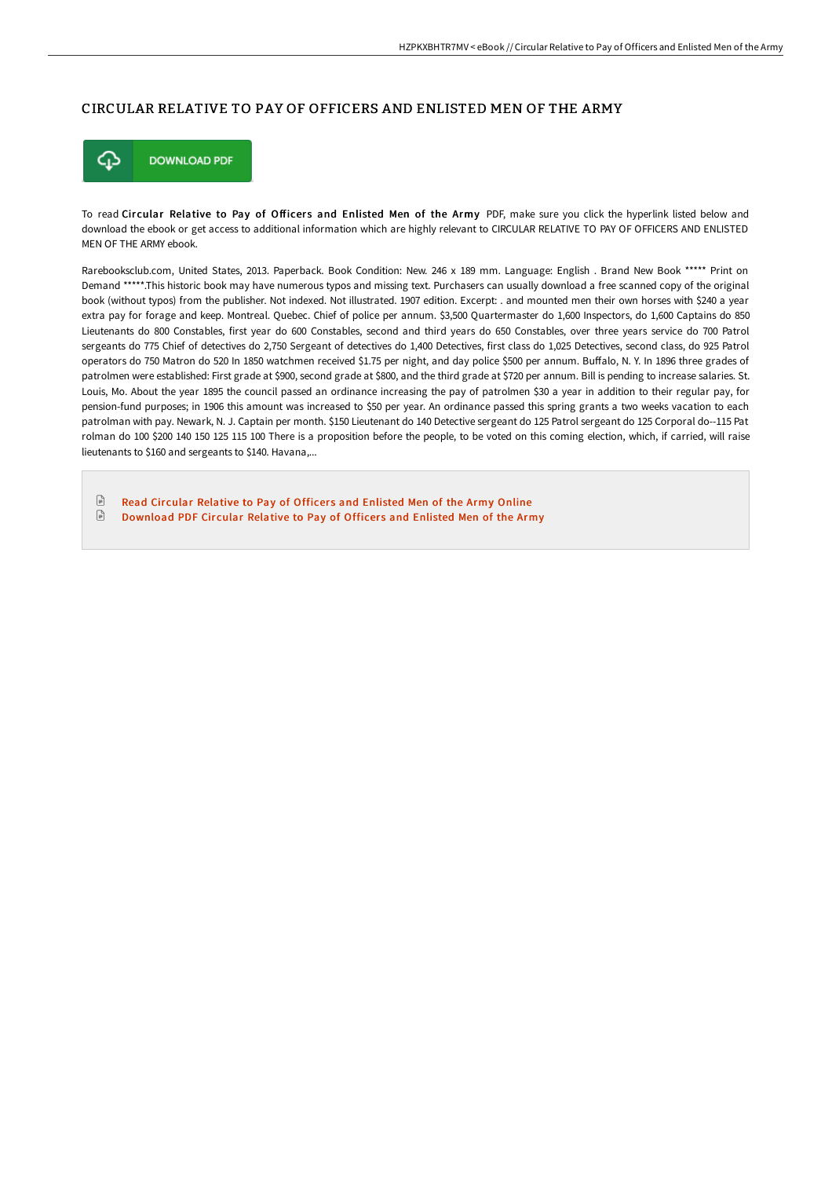## CIRCULAR RELATIVE TO PAY OF OFFICERS AND ENLISTED MEN OF THE ARMY



To read Circular Relative to Pay of Officers and Enlisted Men of the Army PDF, make sure you click the hyperlink listed below and download the ebook or get access to additional information which are highly relevant to CIRCULAR RELATIVE TO PAY OF OFFICERS AND ENLISTED MEN OF THE ARMY ebook.

Rarebooksclub.com, United States, 2013. Paperback. Book Condition: New. 246 x 189 mm. Language: English . Brand New Book \*\*\*\*\* Print on Demand \*\*\*\*\*.This historic book may have numerous typos and missing text. Purchasers can usually download a free scanned copy of the original book (without typos) from the publisher. Not indexed. Not illustrated. 1907 edition. Excerpt: . and mounted men their own horses with \$240 a year extra pay for forage and keep. Montreal. Quebec. Chief of police per annum. \$3,500 Quartermaster do 1,600 Inspectors, do 1,600 Captains do 850 Lieutenants do 800 Constables, first year do 600 Constables, second and third years do 650 Constables, over three years service do 700 Patrol sergeants do 775 Chief of detectives do 2,750 Sergeant of detectives do 1,400 Detectives, first class do 1,025 Detectives, second class, do 925 Patrol operators do 750 Matron do 520 In 1850 watchmen received \$1.75 per night, and day police \$500 per annum. Buffalo, N. Y. In 1896 three grades of patrolmen were established: First grade at \$900, second grade at \$800, and the third grade at \$720 per annum. Bill is pending to increase salaries. St. Louis, Mo. About the year 1895 the council passed an ordinance increasing the pay of patrolmen \$30 a year in addition to their regular pay, for pension-fund purposes; in 1906 this amount was increased to \$50 per year. An ordinance passed this spring grants a two weeks vacation to each patrolman with pay. Newark, N. J. Captain per month. \$150 Lieutenant do 140 Detective sergeant do 125 Patrol sergeant do 125 Corporal do--115 Pat rolman do 100 \$200 140 150 125 115 100 There is a proposition before the people, to be voted on this coming election, which, if carried, will raise lieutenants to \$160 and sergeants to \$140. Havana,...

 $\boxed{=}$ Read Circular [Relative](http://techno-pub.tech/circular-relative-to-pay-of-officers-and-enliste.html) to Pay of Officers and Enlisted Men of the Army Online  $\ensuremath{\mathop\square}\xspace$ [Download](http://techno-pub.tech/circular-relative-to-pay-of-officers-and-enliste.html) PDF Circular Relative to Pay of Officers and Enlisted Men of the Army